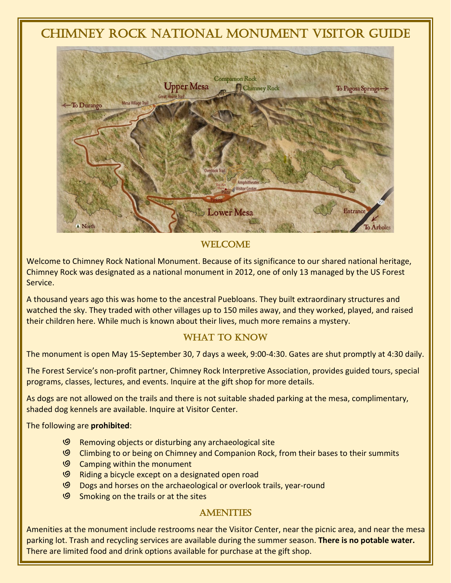Chimney Rock National Monument Visitor Guide



#### WELCOME

Welcome to Chimney Rock National Monument. Because of its significance to our shared national heritage, Chimney Rock was designated as a national monument in 2012, one of only 13 managed by the US Forest Service.

A thousand years ago this was home to the ancestral Puebloans. They built extraordinary structures and watched the sky. They traded with other villages up to 150 miles away, and they worked, played, and raised their children here. While much is known about their lives, much more remains a mystery.

## WHAT TO KNOW

The monument is open May 15-September 30, 7 days a week, 9:00-4:30. Gates are shut promptly at 4:30 daily.

The Forest Service's non-profit partner, Chimney Rock Interpretive Association, provides guided tours, special programs, classes, lectures, and events. Inquire at the gift shop for more details.

As dogs are not allowed on the trails and there is not suitable shaded parking at the mesa, complimentary, shaded dog kennels are available. Inquire at Visitor Center.

The following are **prohibited**:

- **9** Removing objects or disturbing any archaeological site
- O Climbing to or being on Chimney and Companion Rock, from their bases to their summits
- **9** Camping within the monument
- O Riding a bicycle except on a designated open road
- **9** Dogs and horses on the archaeological or overlook trails, year-round
- **9** Smoking on the trails or at the sites

## **AMENITIES**

Amenities at the monument include restrooms near the Visitor Center, near the picnic area, and near the mesa parking lot. Trash and recycling services are available during the summer season. **There is no potable water.** There are limited food and drink options available for purchase at the gift shop.